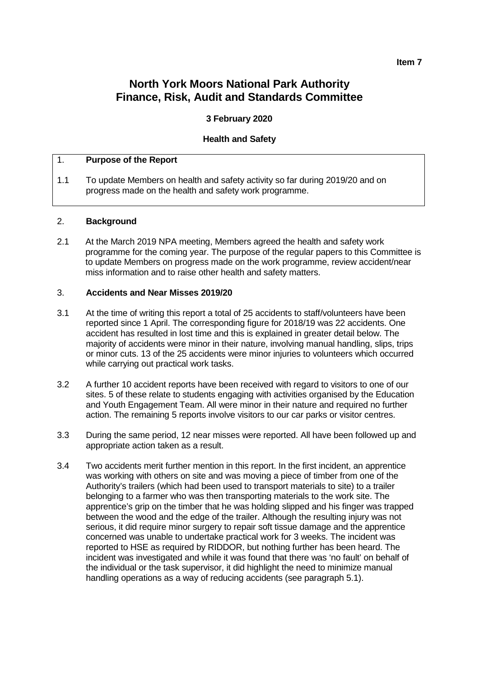# **North York Moors National Park Authority Finance, Risk, Audit and Standards Committee**

# **3 February 2020**

### **Health and Safety**

### 1. **Purpose of the Report**

1.1 To update Members on health and safety activity so far during 2019/20 and on progress made on the health and safety work programme.

### 2. **Background**

2.1 At the March 2019 NPA meeting, Members agreed the health and safety work programme for the coming year. The purpose of the regular papers to this Committee is to update Members on progress made on the work programme, review accident/near miss information and to raise other health and safety matters.

### 3. **Accidents and Near Misses 2019/20**

- 3.1 At the time of writing this report a total of 25 accidents to staff/volunteers have been reported since 1 April. The corresponding figure for 2018/19 was 22 accidents. One accident has resulted in lost time and this is explained in greater detail below. The majority of accidents were minor in their nature, involving manual handling, slips, trips or minor cuts. 13 of the 25 accidents were minor injuries to volunteers which occurred while carrying out practical work tasks.
- 3.2 A further 10 accident reports have been received with regard to visitors to one of our sites. 5 of these relate to students engaging with activities organised by the Education and Youth Engagement Team. All were minor in their nature and required no further action. The remaining 5 reports involve visitors to our car parks or visitor centres.
- 3.3 During the same period, 12 near misses were reported. All have been followed up and appropriate action taken as a result.
- 3.4 Two accidents merit further mention in this report. In the first incident, an apprentice was working with others on site and was moving a piece of timber from one of the Authority's trailers (which had been used to transport materials to site) to a trailer belonging to a farmer who was then transporting materials to the work site. The apprentice's grip on the timber that he was holding slipped and his finger was trapped between the wood and the edge of the trailer. Although the resulting injury was not serious, it did require minor surgery to repair soft tissue damage and the apprentice concerned was unable to undertake practical work for 3 weeks. The incident was reported to HSE as required by RIDDOR, but nothing further has been heard. The incident was investigated and while it was found that there was 'no fault' on behalf of the individual or the task supervisor, it did highlight the need to minimize manual handling operations as a way of reducing accidents (see paragraph 5.1).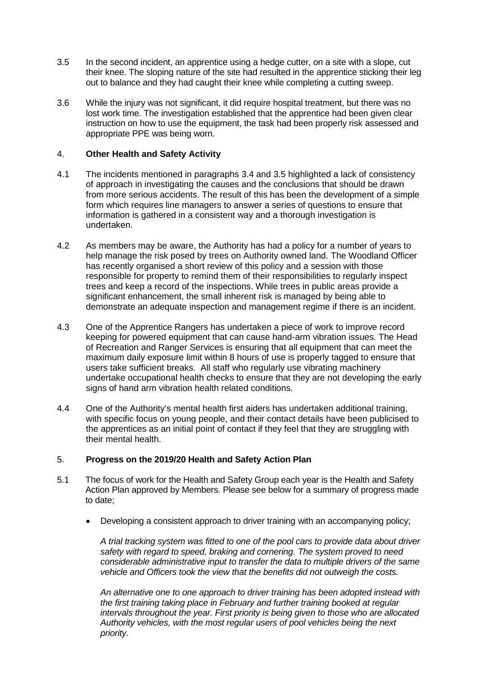- 3.5 In the second incident, an apprentice using a hedge cutter, on a site with a slope, cut their knee. The sloping nature of the site had resulted in the apprentice sticking their leg out to balance and they had caught their knee while completing a cutting sweep.
- 3.6 While the injury was not significant, it did require hospital treatment, but there was no lost work time. The investigation established that the apprentice had been given clear instruction on how to use the equipment, the task had been properly risk assessed and appropriate PPE was being worn.

# 4. **Other Health and Safety Activity**

- 4.1 The incidents mentioned in paragraphs 3.4 and 3.5 highlighted a lack of consistency of approach in investigating the causes and the conclusions that should be drawn from more serious accidents. The result of this has been the development of a simple form which requires line managers to answer a series of questions to ensure that information is gathered in a consistent way and a thorough investigation is undertaken.
- 4.2 As members may be aware, the Authority has had a policy for a number of years to help manage the risk posed by trees on Authority owned land. The Woodland Officer has recently organised a short review of this policy and a session with those responsible for property to remind them of their responsibilities to regularly inspect trees and keep a record of the inspections. While trees in public areas provide a significant enhancement, the small inherent risk is managed by being able to demonstrate an adequate inspection and management regime if there is an incident.
- 4.3 One of the Apprentice Rangers has undertaken a piece of work to improve record keeping for powered equipment that can cause hand-arm vibration issues. The Head of Recreation and Ranger Services is ensuring that all equipment that can meet the maximum daily exposure limit within 8 hours of use is properly tagged to ensure that users take sufficient breaks. All staff who regularly use vibrating machinery undertake occupational health checks to ensure that they are not developing the early signs of hand arm vibration health related conditions.
- 4.4 One of the Authority's mental health first aiders has undertaken additional training, with specific focus on young people, and their contact details have been publicised to the apprentices as an initial point of contact if they feel that they are struggling with their mental health.

# 5. **Progress on the 2019/20 Health and Safety Action Plan**

- 5.1 The focus of work for the Health and Safety Group each year is the Health and Safety Action Plan approved by Members. Please see below for a summary of progress made to date;
	- Developing a consistent approach to driver training with an accompanying policy;

*A trial tracking system was fitted to one of the pool cars to provide data about driver safety with regard to speed, braking and cornering. The system proved to need considerable administrative input to transfer the data to multiple drivers of the same vehicle and Officers took the view that the benefits did not outweigh the costs.* 

*An alternative one to one approach to driver training has been adopted instead with the first training taking place in February and further training booked at regular intervals throughout the year. First priority is being given to those who are allocated Authority vehicles, with the most regular users of pool vehicles being the next priority.*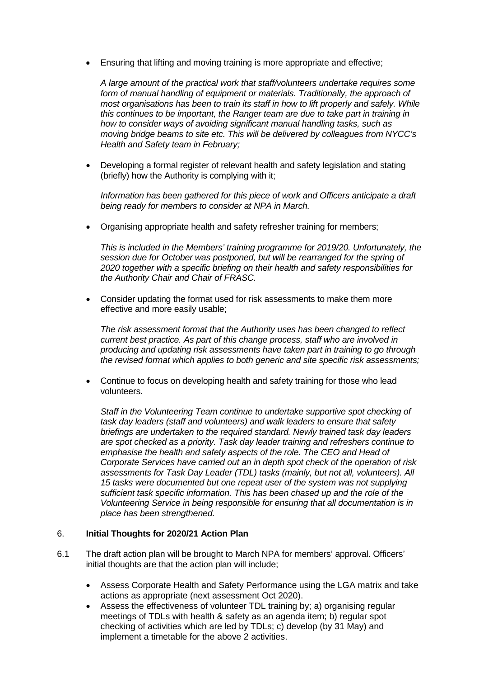• Ensuring that lifting and moving training is more appropriate and effective;

*A large amount of the practical work that staff/volunteers undertake requires some*  form of manual handling of equipment or materials. Traditionally, the approach of *most organisations has been to train its staff in how to lift properly and safely. While this continues to be important, the Ranger team are due to take part in training in how to consider ways of avoiding significant manual handling tasks, such as moving bridge beams to site etc. This will be delivered by colleagues from NYCC's Health and Safety team in February;* 

• Developing a formal register of relevant health and safety legislation and stating (briefly) how the Authority is complying with it;

*Information has been gathered for this piece of work and Officers anticipate a draft being ready for members to consider at NPA in March.*

• Organising appropriate health and safety refresher training for members;

*This is included in the Members' training programme for 2019/20. Unfortunately, the session due for October was postponed, but will be rearranged for the spring of 2020 together with a specific briefing on their health and safety responsibilities for the Authority Chair and Chair of FRASC.*

• Consider updating the format used for risk assessments to make them more effective and more easily usable;

*The risk assessment format that the Authority uses has been changed to reflect current best practice. As part of this change process, staff who are involved in producing and updating risk assessments have taken part in training to go through the revised format which applies to both generic and site specific risk assessments;*

• Continue to focus on developing health and safety training for those who lead volunteers.

*Staff in the Volunteering Team continue to undertake supportive spot checking of task day leaders (staff and volunteers) and walk leaders to ensure that safety briefings are undertaken to the required standard. Newly trained task day leaders are spot checked as a priority. Task day leader training and refreshers continue to emphasise the health and safety aspects of the role. The CEO and Head of Corporate Services have carried out an in depth spot check of the operation of risk assessments for Task Day Leader (TDL) tasks (mainly, but not all, volunteers). All 15 tasks were documented but one repeat user of the system was not supplying sufficient task specific information. This has been chased up and the role of the Volunteering Service in being responsible for ensuring that all documentation is in place has been strengthened.* 

### 6. **Initial Thoughts for 2020/21 Action Plan**

- 6.1 The draft action plan will be brought to March NPA for members' approval. Officers' initial thoughts are that the action plan will include;
	- Assess Corporate Health and Safety Performance using the LGA matrix and take actions as appropriate (next assessment Oct 2020).
	- Assess the effectiveness of volunteer TDL training by; a) organising regular meetings of TDLs with health & safety as an agenda item; b) regular spot checking of activities which are led by TDLs; c) develop (by 31 May) and implement a timetable for the above 2 activities.